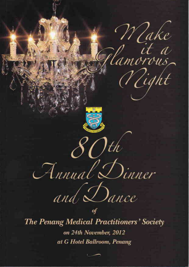

on 24th November, 2012 at G Hotel Ballroom, Penang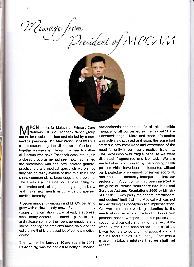Wessage from<br>President of MPCAM



**PCN** stands for **Malaysian Primary Care** Network. It is a Facebook closed group meant for medical doctors and started by a nonmedical personnel, Mr. Alex Wong, in 2009 for a simple reason: to gather all medical professionals together on one site. He saw the need to gather all Doctors who have Facebook accounts to join a closed group as he had seen how fragmented the profession was and how isolated general practitioners and medical specialists were since they had no ready avenue or time to discuss and share common skills, knowledge and problems. There was also the side bonus of reuniting old classmates and colleagues and getting to know and make new friends in our widely dispersed medical fraternity.

It began innocently enough and MPCN began to grow with a slow steady crawl. Even at the early stages of its formation, it was already a success, since many doctors had found a place to chat and release some of their pent up emotions and stress, sharing the problems faced daily and the daily grind that is the usual lot of being a medical doctor.

Then came the famous 1Care scare in 2011. Dr John Ng was the earliest to notify all medical professionals and the public of this possible menace to all concerned in the taknak1Care Facebook page. More and more information was actively discussed and soon, the scare had started a new movement and awareness of the need for unity in our fragile medical fraternity. The profession was fragile because we were disunited, fragmented and isolated. We are easily bullied and hassled by the ongoing health policies which have been implemented without our knowledge or a general consensus approval, and had been stealthily incorporated into our profession. A control rod had been inserted in the guise of Private Healthcare Facilities and Services Act and Regulations 2006 by Ministry of Health. lt was partly the general practitioners' and doctors' fault that this Medical Act was not tackled during its conception and implementation. We were too busy working attending to the needs of our patients and attending to our own personal needs, wrapped up in our professional cocoon and basically shutting off the rest of the world. After it had been forced upon all of us, it was too late to do anything about it and still it hurts and troubles us till today. That was <sup>a</sup> grave mistake, a mistake that we shall not repeat.